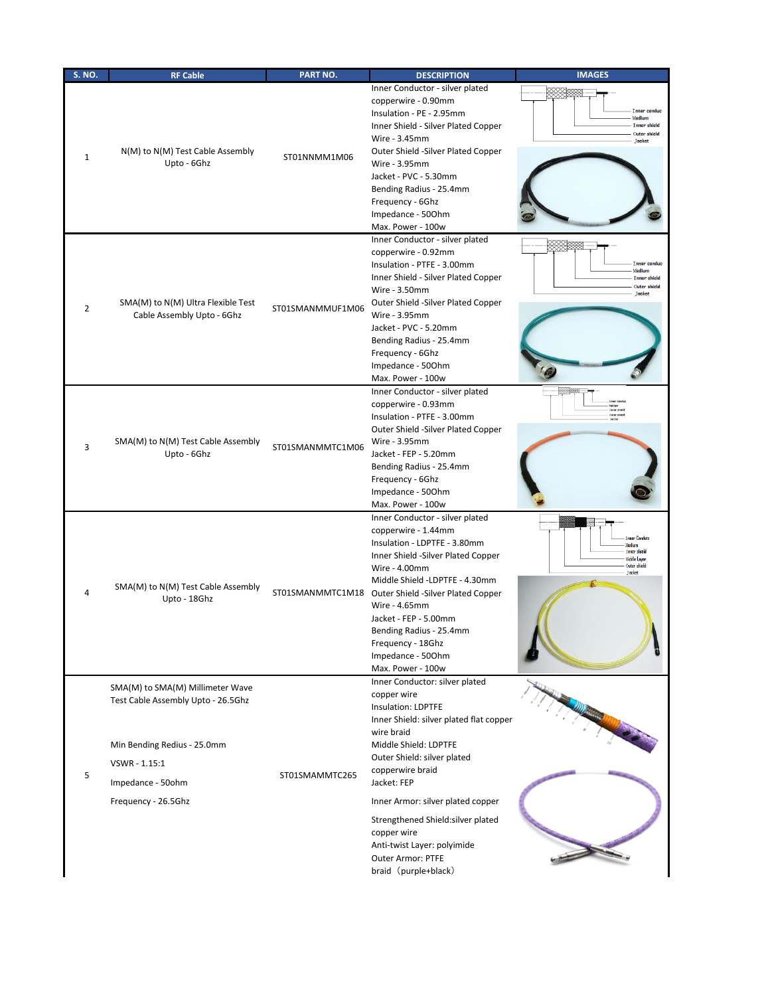| <b>S. NO.</b> | <b>RF Cable</b>                                                                                                                                                    | PART NO.         | <b>DESCRIPTION</b>                                                                                                                                                                                                                                                                                                                                                                                   | <b>IMAGES</b>                                                                          |
|---------------|--------------------------------------------------------------------------------------------------------------------------------------------------------------------|------------------|------------------------------------------------------------------------------------------------------------------------------------------------------------------------------------------------------------------------------------------------------------------------------------------------------------------------------------------------------------------------------------------------------|----------------------------------------------------------------------------------------|
| 1             | N(M) to N(M) Test Cable Assembly<br>Upto - 6Ghz                                                                                                                    | ST01NNMM1M06     | Inner Conductor - silver plated<br>copperwire - 0.90mm<br>Insulation - PE - 2.95mm<br>Inner Shield - Silver Plated Copper<br>Wire - 3.45mm<br>Outer Shield -Silver Plated Copper<br>Wire - 3.95mm<br>Jacket - PVC - 5.30mm<br>Bending Radius - 25.4mm<br>Frequency - 6Ghz<br>Impedance - 500hm<br>Max. Power - 100w                                                                                  | Inner conduc<br>Medium<br><b>Inner shield</b><br>Outer shield<br><b>Jacket</b>         |
| 2             | SMA(M) to N(M) Ultra Flexible Test<br>Cable Assembly Upto - 6Ghz                                                                                                   | ST01SMANMMUF1M06 | Inner Conductor - silver plated<br>copperwire - 0.92mm<br>Insulation - PTFE - 3.00mm<br>Inner Shield - Silver Plated Copper<br>Wire - 3.50mm<br>Outer Shield -Silver Plated Copper<br>Wire - 3.95mm<br>Jacket - PVC - 5.20mm<br>Bending Radius - 25.4mm<br>Frequency - 6Ghz<br>Impedance - 500hm<br>Max. Power - 100w                                                                                | Inner conduc<br>Medium<br><b>Inner shield</b><br>Outer shield<br><b>Jacket</b>         |
| 3             | SMA(M) to N(M) Test Cable Assembly<br>Upto - 6Ghz                                                                                                                  | ST01SMANMMTC1M06 | Inner Conductor - silver plated<br>copperwire - 0.93mm<br>Insulation - PTFE - 3.00mm<br>Outer Shield -Silver Plated Copper<br>Wire - 3.95mm<br>Jacket - FEP - 5.20mm<br>Bending Radius - 25.4mm<br>Frequency - 6Ghz<br>Impedance - 500hm<br>Max. Power - 100w                                                                                                                                        | fed un<br>(neer shield<br>Outer shield                                                 |
| 4             | SMA(M) to N(M) Test Cable Assembly<br>Upto - 18Ghz                                                                                                                 |                  | Inner Conductor - silver plated<br>copperwire - 1.44mm<br>Insulation - LDPTFE - 3.80mm<br>Inner Shield -Silver Plated Copper<br>Wire - 4.00mm<br>Middle Shield -LDPTFE - 4.30mm<br>ST01SMANMMTC1M18 Outer Shield -Silver Plated Copper<br>Wire - 4.65mm<br>Jacket - FEP - 5.00mm<br>Bending Radius - 25.4mm<br>Frequency - 18Ghz<br>Impedance - 500hm<br>Max. Power - 100w                           | <b>Toner Conduti</b><br>i mnon ehiiek<br>Middle Layer<br><b>Outer shield</b><br>Jacket |
| 5             | SMA(M) to SMA(M) Millimeter Wave<br>Test Cable Assembly Upto - 26.5Ghz<br>Min Bending Redius - 25.0mm<br>VSWR - 1.15:1<br>Impedance - 50ohm<br>Frequency - 26.5Ghz | ST01SMAMMTC265   | Inner Conductor: silver plated<br>copper wire<br><b>Insulation: LDPTFE</b><br>Inner Shield: silver plated flat copper<br>wire braid<br>Middle Shield: LDPTFE<br>Outer Shield: silver plated<br>copperwire braid<br>Jacket: FEP<br>Inner Armor: silver plated copper<br>Strengthened Shield: silver plated<br>copper wire<br>Anti-twist Layer: polyimide<br>Outer Armor: PTFE<br>braid (purple+black) |                                                                                        |